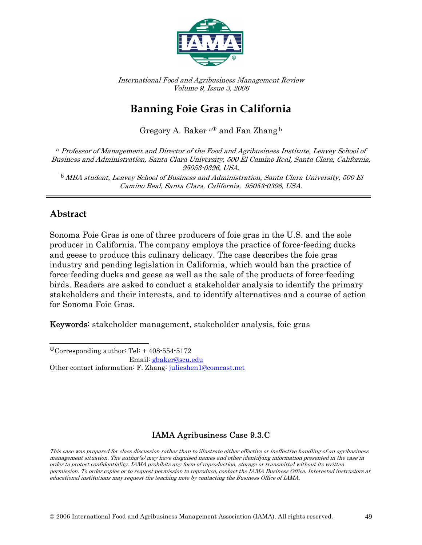

International Food and Agribusiness Management Review Volume 9, Issue 3, 2006

# **Banning Foie Gras in California**

Gregory A. Baker  $a^{\textcircled{1}}$  and Fan Zhang  $^{\text{b}}$ 

<sup>a</sup> Professor of Management and Director of the Food and Agribusiness Institute, Leavey School of Business and Administration, Santa Clara University, 500 El Camino Real, Santa Clara, California, 95053-0396, USA. <sup>b</sup>MBA student, Leavey School of Business and Administration, Santa Clara University, 500 El Camino Real, Santa Clara, California, 95053-0396, USA.

### **Abstract**

Sonoma Foie Gras is one of three producers of foie gras in the U.S. and the sole producer in California. The company employs the practice of force-feeding ducks and geese to produce this culinary delicacy. The case describes the foie gras industry and pending legislation in California, which would ban the practice of force-feeding ducks and geese as well as the sale of the products of force-feeding birds. Readers are asked to conduct a stakeholder analysis to identify the primary stakeholders and their interests, and to identify alternatives and a course of action for Sonoma Foie Gras.

Keywords: stakeholder management, stakeholder analysis, foie gras

### IAMA Agribusiness Case 9.3.C

This case was prepared for class discussion rather than to illustrate either effective or ineffective handling of an agribusiness management situation. The author(s) may have disguised names and other identifying information presented in the case in order to protect confidentiality. IAMA prohibits any form of reproduction, storage or transmittal without its written permission. To order copies or to request permission to reproduce, contact the IAMA Business Office. Interested instructors at educational institutions may request the teaching note by contacting the Business Office of IAMA.

 $\overline{a}$  $^{\circ}$ Corresponding author: Tel: + 408-554-5172

Email: gbaker@scu.edu

Other contact information: F. Zhang: julieshen1@comcast.net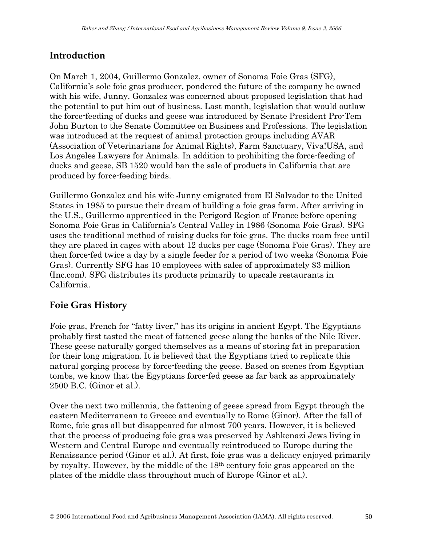## **Introduction**

On March 1, 2004, Guillermo Gonzalez, owner of Sonoma Foie Gras (SFG), California's sole foie gras producer, pondered the future of the company he owned with his wife, Junny. Gonzalez was concerned about proposed legislation that had the potential to put him out of business. Last month, legislation that would outlaw the force-feeding of ducks and geese was introduced by Senate President Pro-Tem John Burton to the Senate Committee on Business and Professions. The legislation was introduced at the request of animal protection groups including AVAR (Association of Veterinarians for Animal Rights), Farm Sanctuary, Viva!USA, and Los Angeles Lawyers for Animals. In addition to prohibiting the force-feeding of ducks and geese, SB 1520 would ban the sale of products in California that are produced by force-feeding birds.

Guillermo Gonzalez and his wife Junny emigrated from El Salvador to the United States in 1985 to pursue their dream of building a foie gras farm. After arriving in the U.S., Guillermo apprenticed in the Perigord Region of France before opening Sonoma Foie Gras in California's Central Valley in 1986 (Sonoma Foie Gras). SFG uses the traditional method of raising ducks for foie gras. The ducks roam free until they are placed in cages with about 12 ducks per cage (Sonoma Foie Gras). They are then force-fed twice a day by a single feeder for a period of two weeks (Sonoma Foie Gras). Currently SFG has 10 employees with sales of approximately \$3 million (Inc.com). SFG distributes its products primarily to upscale restaurants in California.

### **Foie Gras History**

Foie gras, French for "fatty liver," has its origins in ancient Egypt. The Egyptians probably first tasted the meat of fattened geese along the banks of the Nile River. These geese naturally gorged themselves as a means of storing fat in preparation for their long migration. It is believed that the Egyptians tried to replicate this natural gorging process by force-feeding the geese. Based on scenes from Egyptian tombs, we know that the Egyptians force-fed geese as far back as approximately 2500 B.C. (Ginor et al.).

Over the next two millennia, the fattening of geese spread from Egypt through the eastern Mediterranean to Greece and eventually to Rome (Ginor). After the fall of Rome, foie gras all but disappeared for almost 700 years. However, it is believed that the process of producing foie gras was preserved by Ashkenazi Jews living in Western and Central Europe and eventually reintroduced to Europe during the Renaissance period (Ginor et al.). At first, foie gras was a delicacy enjoyed primarily by royalty. However, by the middle of the 18th century foie gras appeared on the plates of the middle class throughout much of Europe (Ginor et al.).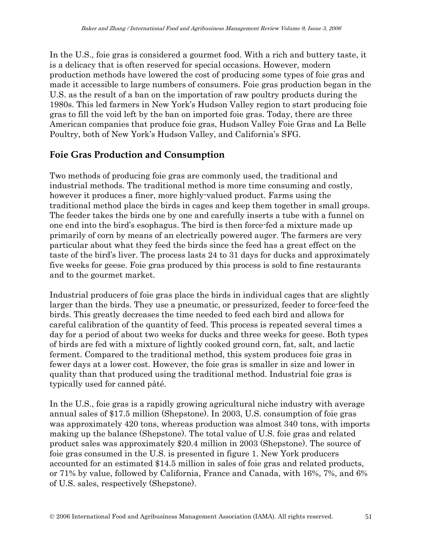In the U.S., foie gras is considered a gourmet food. With a rich and buttery taste, it is a delicacy that is often reserved for special occasions. However, modern production methods have lowered the cost of producing some types of foie gras and made it accessible to large numbers of consumers. Foie gras production began in the U.S. as the result of a ban on the importation of raw poultry products during the 1980s. This led farmers in New York's Hudson Valley region to start producing foie gras to fill the void left by the ban on imported foie gras. Today, there are three American companies that produce foie gras, Hudson Valley Foie Gras and La Belle Poultry, both of New York's Hudson Valley, and California's SFG.

### **Foie Gras Production and Consumption**

Two methods of producing foie gras are commonly used, the traditional and industrial methods. The traditional method is more time consuming and costly, however it produces a finer, more highly-valued product. Farms using the traditional method place the birds in cages and keep them together in small groups. The feeder takes the birds one by one and carefully inserts a tube with a funnel on one end into the bird's esophagus. The bird is then force-fed a mixture made up primarily of corn by means of an electrically powered auger. The farmers are very particular about what they feed the birds since the feed has a great effect on the taste of the bird's liver. The process lasts 24 to 31 days for ducks and approximately five weeks for geese. Foie gras produced by this process is sold to fine restaurants and to the gourmet market.

Industrial producers of foie gras place the birds in individual cages that are slightly larger than the birds. They use a pneumatic, or pressurized, feeder to force-feed the birds. This greatly decreases the time needed to feed each bird and allows for careful calibration of the quantity of feed. This process is repeated several times a day for a period of about two weeks for ducks and three weeks for geese. Both types of birds are fed with a mixture of lightly cooked ground corn, fat, salt, and lactic ferment. Compared to the traditional method, this system produces foie gras in fewer days at a lower cost. However, the foie gras is smaller in size and lower in quality than that produced using the traditional method. Industrial foie gras is typically used for canned pâté.

In the U.S., foie gras is a rapidly growing agricultural niche industry with average annual sales of \$17.5 million (Shepstone). In 2003, U.S. consumption of foie gras was approximately 420 tons, whereas production was almost 340 tons, with imports making up the balance (Shepstone). The total value of U.S. foie gras and related product sales was approximately \$20.4 million in 2003 (Shepstone). The source of foie gras consumed in the U.S. is presented in figure 1. New York producers accounted for an estimated \$14.5 million in sales of foie gras and related products, or 71% by value, followed by California, France and Canada, with 16%, 7%, and 6% of U.S. sales, respectively (Shepstone).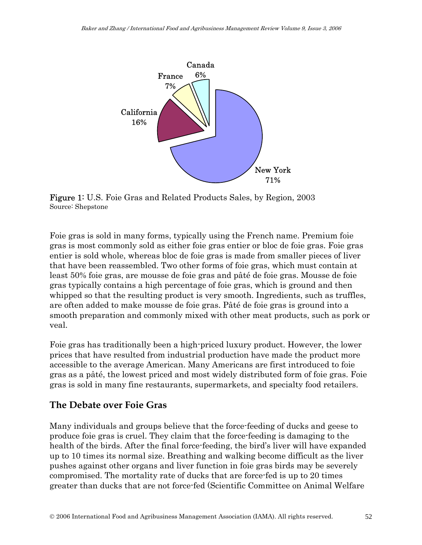

Figure 1: U.S. Foie Gras and Related Products Sales, by Region, 2003 Source: Shepstone

Foie gras is sold in many forms, typically using the French name. Premium foie gras is most commonly sold as either foie gras entier or bloc de foie gras. Foie gras entier is sold whole, whereas bloc de foie gras is made from smaller pieces of liver that have been reassembled. Two other forms of foie gras, which must contain at least 50% foie gras, are mousse de foie gras and pâté de foie gras. Mousse de foie gras typically contains a high percentage of foie gras, which is ground and then whipped so that the resulting product is very smooth. Ingredients, such as truffles, are often added to make mousse de foie gras. Pâté de foie gras is ground into a smooth preparation and commonly mixed with other meat products, such as pork or veal.

Foie gras has traditionally been a high-priced luxury product. However, the lower prices that have resulted from industrial production have made the product more accessible to the average American. Many Americans are first introduced to foie gras as a pâté, the lowest priced and most widely distributed form of foie gras. Foie gras is sold in many fine restaurants, supermarkets, and specialty food retailers.

#### **The Debate over Foie Gras**

Many individuals and groups believe that the force-feeding of ducks and geese to produce foie gras is cruel. They claim that the force-feeding is damaging to the health of the birds. After the final force-feeding, the bird's liver will have expanded up to 10 times its normal size. Breathing and walking become difficult as the liver pushes against other organs and liver function in foie gras birds may be severely compromised. The mortality rate of ducks that are force-fed is up to 20 times greater than ducks that are not force-fed (Scientific Committee on Animal Welfare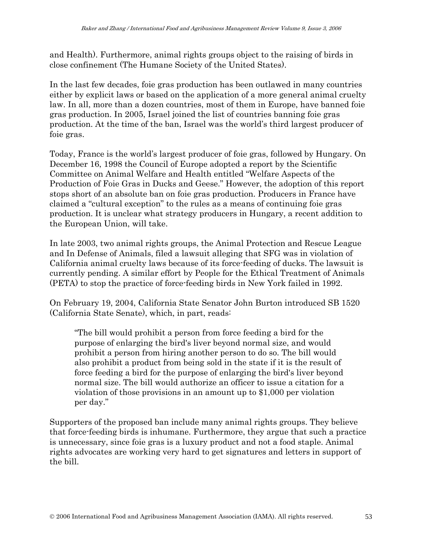and Health). Furthermore, animal rights groups object to the raising of birds in close confinement (The Humane Society of the United States).

In the last few decades, foie gras production has been outlawed in many countries either by explicit laws or based on the application of a more general animal cruelty law. In all, more than a dozen countries, most of them in Europe, have banned foie gras production. In 2005, Israel joined the list of countries banning foie gras production. At the time of the ban, Israel was the world's third largest producer of foie gras.

Today, France is the world's largest producer of foie gras, followed by Hungary. On December 16, 1998 the Council of Europe adopted a report by the Scientific Committee on Animal Welfare and Health entitled "Welfare Aspects of the Production of Foie Gras in Ducks and Geese." However, the adoption of this report stops short of an absolute ban on foie gras production. Producers in France have claimed a "cultural exception" to the rules as a means of continuing foie gras production. It is unclear what strategy producers in Hungary, a recent addition to the European Union, will take.

In late 2003, two animal rights groups, the Animal Protection and Rescue League and In Defense of Animals, filed a lawsuit alleging that SFG was in violation of California animal cruelty laws because of its force-feeding of ducks. The lawsuit is currently pending. A similar effort by People for the Ethical Treatment of Animals (PETA) to stop the practice of force-feeding birds in New York failed in 1992.

On February 19, 2004, California State Senator John Burton introduced SB 1520 (California State Senate), which, in part, reads:

"The bill would prohibit a person from force feeding a bird for the purpose of enlarging the bird's liver beyond normal size, and would prohibit a person from hiring another person to do so. The bill would also prohibit a product from being sold in the state if it is the result of force feeding a bird for the purpose of enlarging the bird's liver beyond normal size. The bill would authorize an officer to issue a citation for a violation of those provisions in an amount up to \$1,000 per violation per day."

Supporters of the proposed ban include many animal rights groups. They believe that force-feeding birds is inhumane. Furthermore, they argue that such a practice is unnecessary, since foie gras is a luxury product and not a food staple. Animal rights advocates are working very hard to get signatures and letters in support of the bill.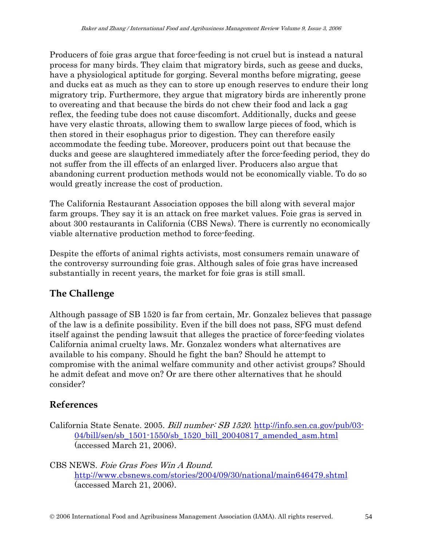Producers of foie gras argue that force-feeding is not cruel but is instead a natural process for many birds. They claim that migratory birds, such as geese and ducks, have a physiological aptitude for gorging. Several months before migrating, geese and ducks eat as much as they can to store up enough reserves to endure their long migratory trip. Furthermore, they argue that migratory birds are inherently prone to overeating and that because the birds do not chew their food and lack a gag reflex, the feeding tube does not cause discomfort. Additionally, ducks and geese have very elastic throats, allowing them to swallow large pieces of food, which is then stored in their esophagus prior to digestion. They can therefore easily accommodate the feeding tube. Moreover, producers point out that because the ducks and geese are slaughtered immediately after the force-feeding period, they do not suffer from the ill effects of an enlarged liver. Producers also argue that abandoning current production methods would not be economically viable. To do so would greatly increase the cost of production.

The California Restaurant Association opposes the bill along with several major farm groups. They say it is an attack on free market values. Foie gras is served in about 300 restaurants in California (CBS News). There is currently no economically viable alternative production method to force-feeding.

Despite the efforts of animal rights activists, most consumers remain unaware of the controversy surrounding foie gras. Although sales of foie gras have increased substantially in recent years, the market for foie gras is still small.

## **The Challenge**

Although passage of SB 1520 is far from certain, Mr. Gonzalez believes that passage of the law is a definite possibility. Even if the bill does not pass, SFG must defend itself against the pending lawsuit that alleges the practice of force-feeding violates California animal cruelty laws. Mr. Gonzalez wonders what alternatives are available to his company. Should he fight the ban? Should he attempt to compromise with the animal welfare community and other activist groups? Should he admit defeat and move on? Or are there other alternatives that he should consider?

## **References**

California State Senate. 2005. Bill number: SB 1520. http://info.sen.ca.gov/pub/03- 04/bill/sen/sb\_1501-1550/sb\_1520\_bill\_20040817\_amended\_asm.html (accessed March 21, 2006).

CBS NEWS. Foie Gras Foes Win A Round. http://www.cbsnews.com/stories/2004/09/30/national/main646479.shtml (accessed March 21, 2006).